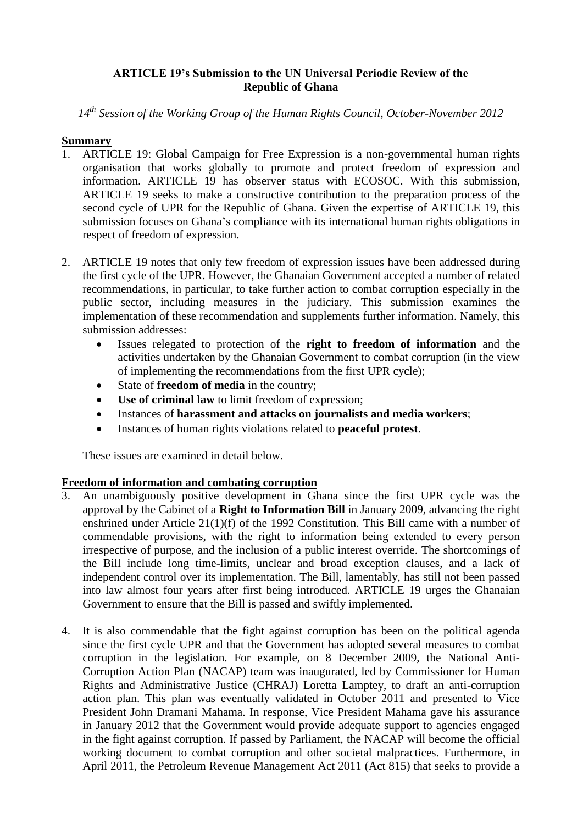# **ARTICLE 19's Submission to the UN Universal Periodic Review of the Republic of Ghana**

*14th Session of the Working Group of the Human Rights Council, October-November 2012*

### **Summary**

- 1. ARTICLE 19: Global Campaign for Free Expression is a non-governmental human rights organisation that works globally to promote and protect freedom of expression and information. ARTICLE 19 has observer status with ECOSOC. With this submission, ARTICLE 19 seeks to make a constructive contribution to the preparation process of the second cycle of UPR for the Republic of Ghana. Given the expertise of ARTICLE 19, this submission focuses on Ghana's compliance with its international human rights obligations in respect of freedom of expression.
- 2. ARTICLE 19 notes that only few freedom of expression issues have been addressed during the first cycle of the UPR. However, the Ghanaian Government accepted a number of related recommendations, in particular, to take further action to combat corruption especially in the public sector, including measures in the judiciary. This submission examines the implementation of these recommendation and supplements further information. Namely, this submission addresses:
	- Issues relegated to protection of the **right to freedom of information** and the activities undertaken by the Ghanaian Government to combat corruption (in the view of implementing the recommendations from the first UPR cycle);
	- State of **freedom of media** in the country;
	- **Use of criminal law** to limit freedom of expression;
	- Instances of **harassment and attacks on journalists and media workers**;
	- Instances of human rights violations related to **peaceful protest**.

These issues are examined in detail below.

## **Freedom of information and combating corruption**

- 3. An unambiguously positive development in Ghana since the first UPR cycle was the approval by the Cabinet of a **Right to Information Bill** in January 2009, advancing the right enshrined under Article 21(1)(f) of the 1992 Constitution. This Bill came with a number of commendable provisions, with the right to information being extended to every person irrespective of purpose, and the inclusion of a public interest override. The shortcomings of the Bill include long time-limits, unclear and broad exception clauses, and a lack of independent control over its implementation. The Bill, lamentably, has still not been passed into law almost four years after first being introduced. ARTICLE 19 urges the Ghanaian Government to ensure that the Bill is passed and swiftly implemented.
- 4. It is also commendable that the fight against corruption has been on the political agenda since the first cycle UPR and that the Government has adopted several measures to combat corruption in the legislation. For example, on 8 December 2009, the National Anti-Corruption Action Plan (NACAP) team was inaugurated, led by Commissioner for Human Rights and Administrative Justice (CHRAJ) Loretta Lamptey, to draft an anti-corruption action plan. This plan was eventually validated in October 2011 and presented to Vice President John Dramani Mahama. In response, Vice President Mahama gave his assurance in January 2012 that the Government would provide adequate support to agencies engaged in the fight against corruption. If passed by Parliament, the NACAP will become the official working document to combat corruption and other societal malpractices. Furthermore, in April 2011, the Petroleum Revenue Management Act 2011 (Act 815) that seeks to provide a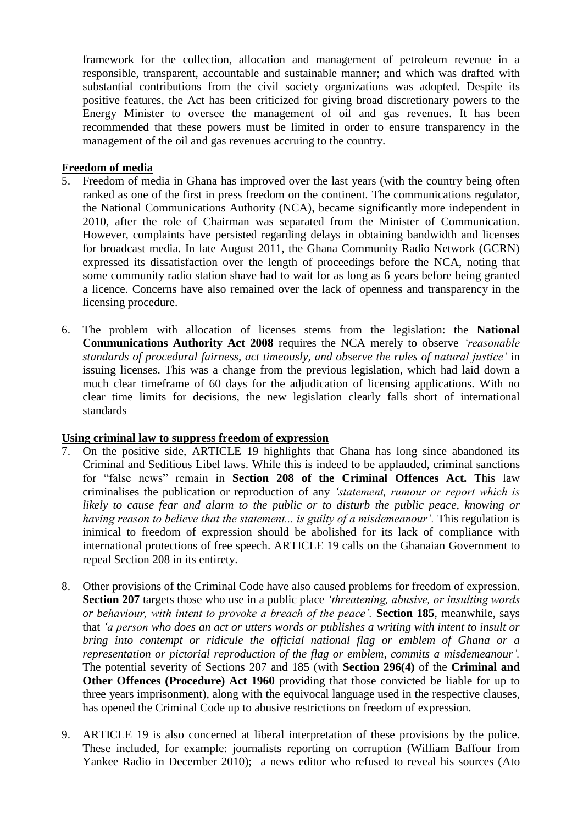framework for the collection, allocation and management of petroleum revenue in a responsible, transparent, accountable and sustainable manner; and which was drafted with substantial contributions from the civil society organizations was adopted. Despite its positive features, the Act has been criticized for giving broad discretionary powers to the Energy Minister to oversee the management of oil and gas revenues. It has been recommended that these powers must be limited in order to ensure transparency in the management of the oil and gas revenues accruing to the country.

# **Freedom of media**

- 5. Freedom of media in Ghana has improved over the last years (with the country being often ranked as one of the first in press freedom on the continent. The communications regulator, the National Communications Authority (NCA), became significantly more independent in 2010, after the role of Chairman was separated from the Minister of Communication. However, complaints have persisted regarding delays in obtaining bandwidth and licenses for broadcast media. In late August 2011, the Ghana Community Radio Network (GCRN) expressed its dissatisfaction over the length of proceedings before the NCA, noting that some community radio station shave had to wait for as long as 6 years before being granted a licence. Concerns have also remained over the lack of openness and transparency in the licensing procedure.
- 6. The problem with allocation of licenses stems from the legislation: the **National Communications Authority Act 2008** requires the NCA merely to observe *'reasonable standards of procedural fairness, act timeously, and observe the rules of natural justice'* in issuing licenses. This was a change from the previous legislation, which had laid down a much clear timeframe of 60 days for the adjudication of licensing applications. With no clear time limits for decisions, the new legislation clearly falls short of international standards

#### **Using criminal law to suppress freedom of expression**

- 7. On the positive side, ARTICLE 19 highlights that Ghana has long since abandoned its Criminal and Seditious Libel laws. While this is indeed to be applauded, criminal sanctions for "false news" remain in **Section 208 of the Criminal Offences Act.** This law criminalises the publication or reproduction of any *'statement, rumour or report which is likely to cause fear and alarm to the public or to disturb the public peace, knowing or having reason to believe that the statement... is guilty of a misdemeanour'. This regulation is* inimical to freedom of expression should be abolished for its lack of compliance with international protections of free speech. ARTICLE 19 calls on the Ghanaian Government to repeal Section 208 in its entirety.
- 8. Other provisions of the Criminal Code have also caused problems for freedom of expression. **Section 207** targets those who use in a public place *'threatening, abusive, or insulting words or behaviour, with intent to provoke a breach of the peace'.* **Section 185**, meanwhile, says that *'a person who does an act or utters words or publishes a writing with intent to insult or bring into contempt or ridicule the official national flag or emblem of Ghana or a representation or pictorial reproduction of the flag or emblem, commits a misdemeanour'.*  The potential severity of Sections 207 and 185 (with **Section 296(4)** of the **Criminal and Other Offences (Procedure) Act 1960** providing that those convicted be liable for up to three years imprisonment), along with the equivocal language used in the respective clauses, has opened the Criminal Code up to abusive restrictions on freedom of expression.
- 9. ARTICLE 19 is also concerned at liberal interpretation of these provisions by the police. These included, for example: journalists reporting on corruption (William Baffour from Yankee Radio in December 2010); a news editor who refused to reveal his sources (Ato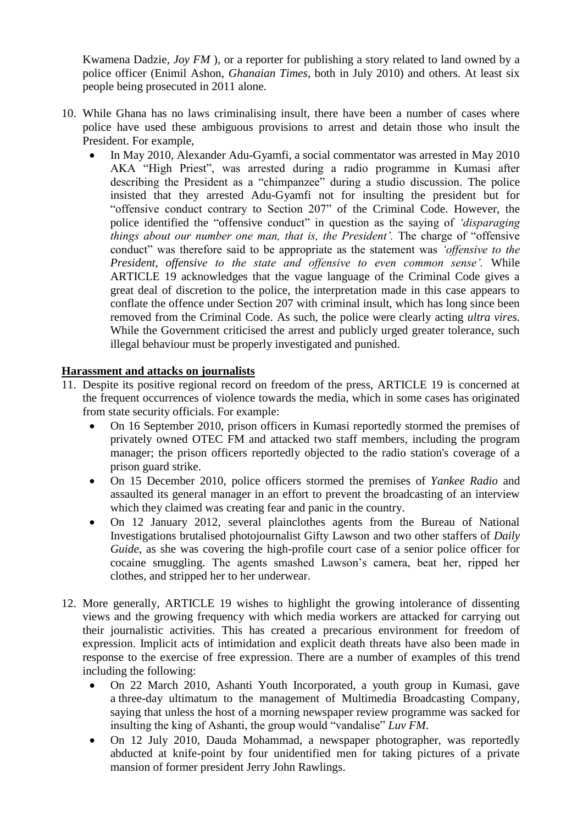Kwamena Dadzie, *Joy FM* ), or a reporter for publishing a story related to land owned by a police officer (Enimil Ashon, *Ghanaian Times*, both in July 2010) and others. At least six people being prosecuted in 2011 alone.

- 10. While Ghana has no laws criminalising insult, there have been a number of cases where police have used these ambiguous provisions to arrest and detain those who insult the President. For example,
	- In May 2010, Alexander Adu-Gyamfi, a social commentator was arrested in May 2010 AKA "High Priest", was arrested during a radio programme in Kumasi after describing the President as a "chimpanzee" during a studio discussion. The police insisted that they arrested Adu-Gyamfi not for insulting the president but for "offensive conduct contrary to Section 207" of the Criminal Code. However, the police identified the "offensive conduct" in question as the saying of *'disparaging things about our number one man, that is, the President'.* The charge of "offensive conduct" was therefore said to be appropriate as the statement was *'offensive to the President, offensive to the state and offensive to even common sense'.* While ARTICLE 19 acknowledges that the vague language of the Criminal Code gives a great deal of discretion to the police, the interpretation made in this case appears to conflate the offence under Section 207 with criminal insult, which has long since been removed from the Criminal Code. As such, the police were clearly acting *ultra vires.* While the Government criticised the arrest and publicly urged greater tolerance, such illegal behaviour must be properly investigated and punished.

### **Harassment and attacks on journalists**

- 11. Despite its positive regional record on freedom of the press, ARTICLE 19 is concerned at the frequent occurrences of violence towards the media, which in some cases has originated from state security officials. For example:
	- On 16 September 2010, prison officers in Kumasi reportedly stormed the premises of privately owned OTEC FM and attacked two staff members, including the program manager; the prison officers reportedly objected to the radio station's coverage of a prison guard strike.
	- On 15 December 2010, police officers stormed the premises of *Yankee Radio* and assaulted its general manager in an effort to prevent the broadcasting of an interview which they claimed was creating fear and panic in the country.
	- On 12 January 2012, several plainclothes agents from the Bureau of National Investigations brutalised photojournalist Gifty Lawson and two other staffers of *Daily Guide*, as she was covering the high-profile court case of a senior police officer for cocaine smuggling. The agents smashed Lawson's camera, beat her, ripped her clothes, and stripped her to her underwear.
- 12. More generally, ARTICLE 19 wishes to highlight the growing intolerance of dissenting views and the growing frequency with which media workers are attacked for carrying out their journalistic activities. This has created a precarious environment for freedom of expression. Implicit acts of intimidation and explicit death threats have also been made in response to the exercise of free expression. There are a number of examples of this trend including the following:
	- On 22 March 2010, Ashanti Youth Incorporated, a youth group in Kumasi, gave a three-day ultimatum to the management of Multimedia Broadcasting Company, saying that unless the host of a morning newspaper review programme was sacked for insulting the king of Ashanti, the group would "vandalise" *Luv FM*.
	- On 12 July 2010, Dauda Mohammad, a newspaper photographer, was reportedly abducted at knife-point by four unidentified men for taking pictures of a private mansion of former president Jerry John Rawlings.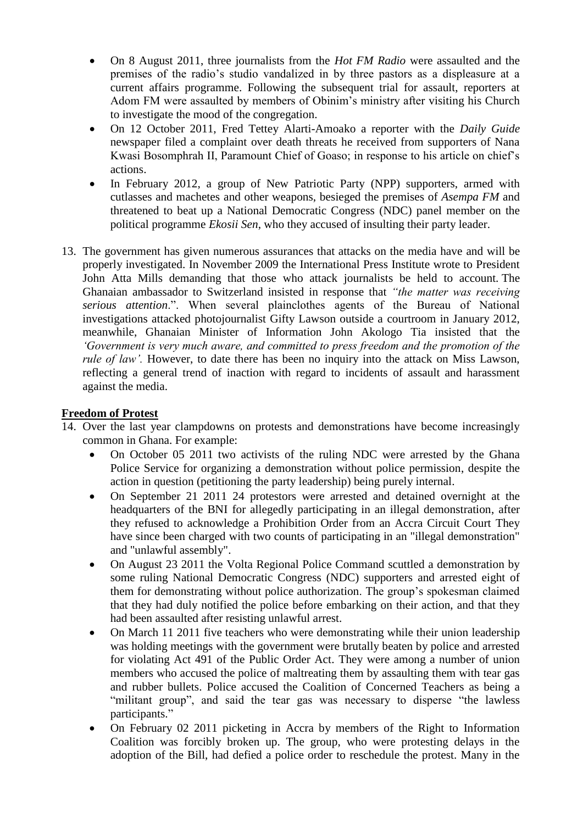- On 8 August 2011, three journalists from the *Hot FM Radio* were assaulted and the premises of the radio's studio vandalized in by three pastors as a displeasure at a current affairs programme. Following the subsequent trial for assault, reporters at Adom FM were assaulted by members of Obinim's ministry after visiting his Church to investigate the mood of the congregation.
- On 12 October 2011, Fred Tettey Alarti-Amoako a reporter with the *Daily Guide*  newspaper filed a complaint over death threats he received from supporters of Nana Kwasi Bosomphrah II, Paramount Chief of Goaso; in response to his article on chief's actions.
- In February 2012, a group of New Patriotic Party (NPP) supporters, armed with cutlasses and machetes and other weapons, besieged the premises of *Asempa FM* and threatened to beat up a National Democratic Congress (NDC) panel member on the political programme *Ekosii Sen*, who they accused of insulting their party leader.
- 13. The government has given numerous assurances that attacks on the media have and will be properly investigated. In November 2009 the International Press Institute wrote to President John Atta Mills demanding that those who attack journalists be held to account. The Ghanaian ambassador to Switzerland insisted in response that *"the matter was receiving serious attention*.". When several plainclothes agents of the Bureau of National investigations attacked photojournalist Gifty Lawson outside a courtroom in January 2012, meanwhile, Ghanaian Minister of Information John Akologo Tia insisted that the *'Government is very much aware, and committed to press freedom and the promotion of the rule of law'*. However, to date there has been no inquiry into the attack on Miss Lawson, reflecting a general trend of inaction with regard to incidents of assault and harassment against the media.

#### **Freedom of Protest**

- 14. Over the last year clampdowns on protests and demonstrations have become increasingly common in Ghana. For example:
	- On October 05 2011 two activists of the ruling NDC were arrested by the Ghana Police Service for organizing a demonstration without police permission, despite the action in question (petitioning the party leadership) being purely internal.
	- On September 21 2011 24 protestors were arrested and detained overnight at the headquarters of the BNI for allegedly participating in an illegal demonstration, after they refused to acknowledge a Prohibition Order from an Accra Circuit Court They have since been charged with two counts of participating in an "illegal demonstration" and "unlawful assembly".
	- On August 23 2011 the Volta Regional Police Command scuttled a demonstration by some ruling National Democratic Congress (NDC) supporters and arrested eight of them for demonstrating without police authorization. The group's spokesman claimed that they had duly notified the police before embarking on their action, and that they had been assaulted after resisting unlawful arrest.
	- On March 11 2011 five teachers who were demonstrating while their union leadership was holding meetings with the government were brutally beaten by police and arrested for violating Act 491 of the Public Order Act. They were among a number of union members who accused the police of maltreating them by assaulting them with tear gas and rubber bullets. Police accused the Coalition of Concerned Teachers as being a "militant group", and said the tear gas was necessary to disperse "the lawless" participants."
	- On February 02 2011 picketing in Accra by members of the Right to Information Coalition was forcibly broken up. The group, who were protesting delays in the adoption of the Bill, had defied a police order to reschedule the protest. Many in the